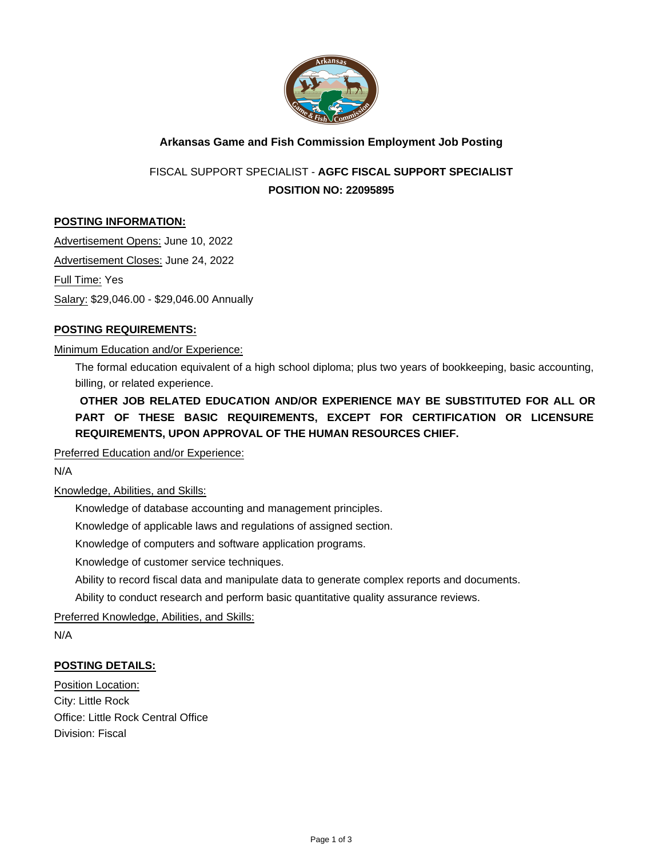

# **Arkansas Game and Fish Commission Employment Job Posting**

FISCAL SUPPORT SPECIALIST - **AGFC FISCAL SUPPORT SPECIALIST POSITION NO: 22095895**

### **POSTING INFORMATION:**

Advertisement Opens: June 10, 2022 Advertisement Closes: June 24, 2022 Full Time: Yes Salary: \$29,046.00 - \$29,046.00 Annually

## **POSTING REQUIREMENTS:**

#### Minimum Education and/or Experience:

The formal education equivalent of a high school diploma; plus two years of bookkeeping, basic accounting, billing, or related experience.

**OTHER JOB RELATED EDUCATION AND/OR EXPERIENCE MAY BE SUBSTITUTED FOR ALL OR PART OF THESE BASIC REQUIREMENTS, EXCEPT FOR CERTIFICATION OR LICENSURE REQUIREMENTS, UPON APPROVAL OF THE HUMAN RESOURCES CHIEF.**

Preferred Education and/or Experience:

N/A

Knowledge, Abilities, and Skills:

Knowledge of database accounting and management principles.

Knowledge of applicable laws and regulations of assigned section.

Knowledge of computers and software application programs.

Knowledge of customer service techniques.

Ability to record fiscal data and manipulate data to generate complex reports and documents.

Ability to conduct research and perform basic quantitative quality assurance reviews.

Preferred Knowledge, Abilities, and Skills:

N/A

### **POSTING DETAILS:**

Position Location: City: Little Rock Office: Little Rock Central Office Division: Fiscal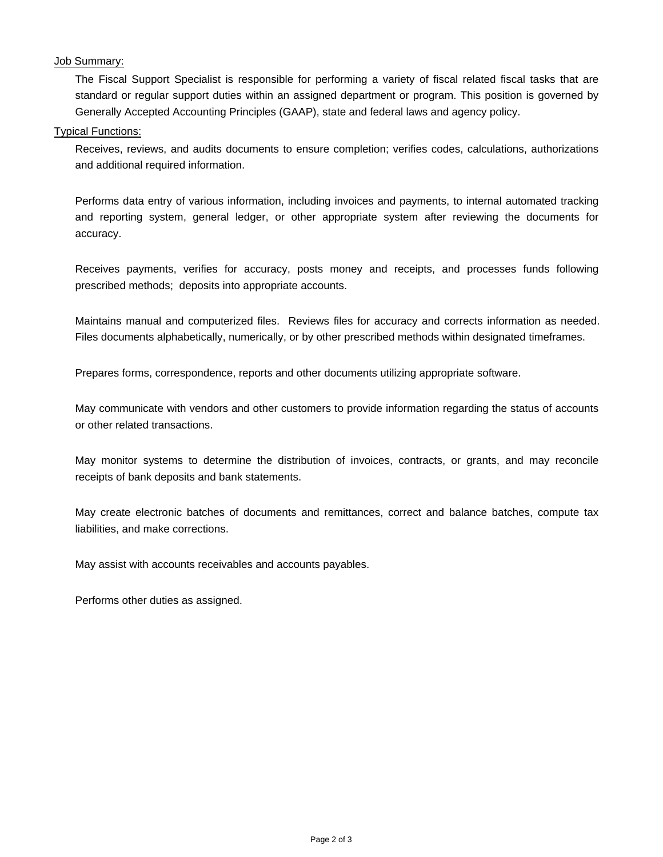#### Job Summary:

The Fiscal Support Specialist is responsible for performing a variety of fiscal related fiscal tasks that are standard or regular support duties within an assigned department or program. This position is governed by Generally Accepted Accounting Principles (GAAP), state and federal laws and agency policy.

#### Typical Functions:

Receives, reviews, and audits documents to ensure completion; verifies codes, calculations, authorizations and additional required information.

Performs data entry of various information, including invoices and payments, to internal automated tracking and reporting system, general ledger, or other appropriate system after reviewing the documents for accuracy.

Receives payments, verifies for accuracy, posts money and receipts, and processes funds following prescribed methods; deposits into appropriate accounts.

Maintains manual and computerized files. Reviews files for accuracy and corrects information as needed. Files documents alphabetically, numerically, or by other prescribed methods within designated timeframes.

Prepares forms, correspondence, reports and other documents utilizing appropriate software.

May communicate with vendors and other customers to provide information regarding the status of accounts or other related transactions.

May monitor systems to determine the distribution of invoices, contracts, or grants, and may reconcile receipts of bank deposits and bank statements.

May create electronic batches of documents and remittances, correct and balance batches, compute tax liabilities, and make corrections.

May assist with accounts receivables and accounts payables.

Performs other duties as assigned.